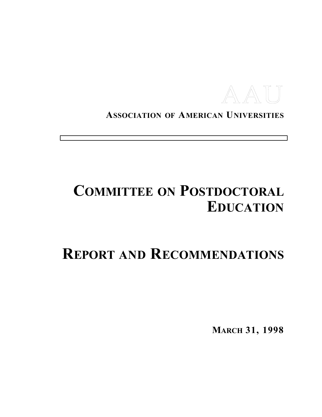

**ASSOCIATION OF AMERICAN UNIVERSITIES**

# **COMMITTEE ON POSTDOCTORAL EDUCATION**

# **REPORT AND RECOMMENDATIONS**

**MARCH 31, 1998**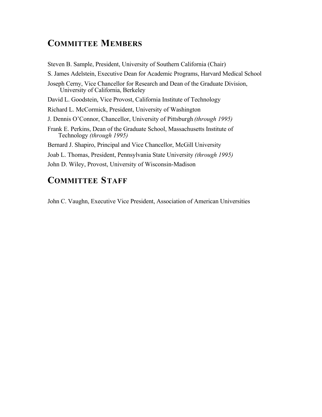### **COMMITTEE MEMBERS**

Steven B. Sample, President, University of Southern California (Chair) S. James Adelstein, Executive Dean for Academic Programs, Harvard Medical School Joseph Cerny, Vice Chancellor for Research and Dean of the Graduate Division, University of California, Berkeley David L. Goodstein, Vice Provost, California Institute of Technology Richard L. McCormick, President, University of Washington J. Dennis O'Connor, Chancellor, University of Pittsburgh *(through 1995)* Frank E. Perkins, Dean of the Graduate School, Massachusetts Institute of Technology *(through 1995)* Bernard J. Shapiro, Principal and Vice Chancellor, McGill University Joab L. Thomas, President, Pennsylvania State University *(through 1995)* John D. Wiley, Provost, University of Wisconsin-Madison

## **COMMITTEE STAFF**

John C. Vaughn, Executive Vice President, Association of American Universities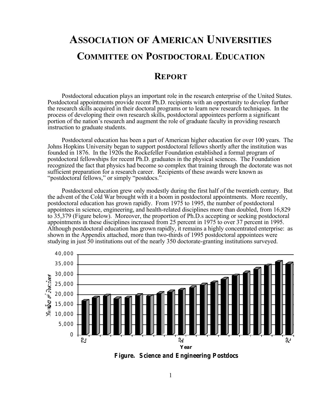## **ASSOCIATION OF AMERICAN UNIVERSITIES COMMITTEE ON POSTDOCTORAL EDUCATION**

### **REPORT**

Postdoctoral education plays an important role in the research enterprise of the United States. Postdoctoral appointments provide recent Ph.D. recipients with an opportunity to develop further the research skills acquired in their doctoral programs or to learn new research techniques. In the process of developing their own research skills, postdoctoral appointees perform a significant portion of the nation's research and augment the role of graduate faculty in providing research instruction to graduate stu dents.

Postdoctoral education has been a part of American higher education for over 100 years. The Johns Hopkins University began to support postdoctoral fellows shortly after the institution was founded in 1876. In the 1920s the Rockefeller Foundation established a formal program of postdoctoral fellowships for recent Ph.D. graduates in the physical sciences. The Foundation recognized the fact that physics had become so complex that training through the doctorate was not sufficient preparation for a research career. Recipients of these awards were known as "postdoctoral fellows," or simply "postdocs."

Postdoctoral education grew only modestly during the first half of the twentieth century. But the advent of the Cold War brought with it a boom in postdoctoral appointments. More recently, postdoctoral education has grown rapidly. From 1975 to 1995, the number of postdoctoral appointees in science, engineering, and health-related disciplines more than doubled, from 16,829 to 35,379 (Figure below). Moreover, the proportion of Ph.D.s accepting or seeking postdoctoral appointments in these disciplines increased from 25 percent in 1975 to over 37 percent in 1995. Although postdoctoral education has grown rapidly, it remains a highly concentrated enterprise: as shown in the Appendix attached, more than two-thirds of 1995 postdoctoral appointees were studying in just 50 institutions out of the nearly 350 doctorate-granting institutions surveyed.



*Figure. Science and Engineering Postdocs*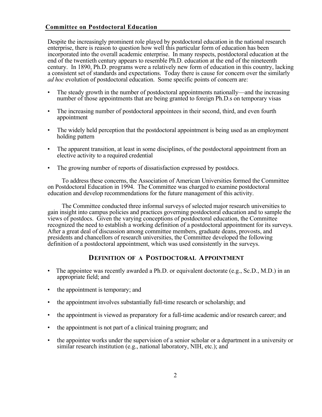#### **Committee on Postdoctoral Education**

Despite the increasingly prominent role played by postdoctoral education in the national research enterprise, there is reason to question how well this particular form of education has been incorporated into the overall academic enterprise. In many respects, postdoctoral education at the end of the twentieth century appears to resemble Ph.D. education at the end of the nineteenth century. In 1890, Ph.D. programs were a relatively new form of education in this country, lacking a consistent set of standards and expectations. Today there is cause for concern over the similarly *ad hoc* evolution of postdoctoral education. Some specific points of concern are:

- The steady growth in the number of postdoctoral appointments nationally—and the increasing number of those appointments that are being granted to foreign Ph.D.s on temporary visas
- The increasing number of postdoctoral appointees in their second, third, and even fourth appointment
- The widely held perception that the postdoctoral appointment is being used as an employment holding pattern
- The apparent transition, at least in some disciplines, of the postdoctoral appointment from an elective activity to a required credential
- The growing number of reports of dissatisfaction expressed by postdocs.

To address these concerns, the Association of American Universities formed the Committee on Postdoctoral Education in 1994. The Committee was charged to examine postdoctoral education and develop recommendations for the future management of this activity.

The Committee conducted three informal surveys of selected major research universities to gain insight into campus policies and practices governing postdoctoral education and to sample the views of postdocs. Given the varying conceptions of postdoctoral education, the Committee recognized the need to establish a working definition of a postdoctoral appointment for its surveys. After a great deal of discussion among committee members, graduate deans, provosts, and presidents and chancellors of research universities, the Committee developed the following definition of a postdoctoral appointment, which was used consistently in the surveys.

#### **DEFINITION OF A POSTDOCTORAL APPOINTMENT**

- The appointee was recently awarded a Ph.D. or equivalent doctorate (e.g.,  $Sc.D., M.D.$ ) in an appropriate field; and
- the appointment is temporary; and
- the appointment involves substantially full-time research or scholarship; and
- the appointment is viewed as preparatory for a full-time academic and/or research career; and
- the appointment is not part of a clinical training program; and
- the appointee works under the supervision of a senior scholar or a department in a university or similar research institution (e.g., national laboratory, NIH, etc.); and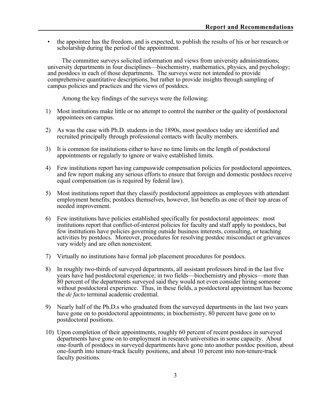• the appointee has the freedom, and is expected, to publish the results of his or her research or scholarship during the period of the appointment.

The committee surveys solicited information and views from university administrations; university departments in four disciplines—biochemistry, mathematics, physics, and psychology; and postdocs in each of those departments. The surveys were not intended to provide comprehensive quantitative descriptions, but rather to provide insights through sampling of campus policies and practices and the views of postdocs.

Among the key findings of the surveys were the following:

- 1) Most institutions make little or no attempt to control the number or the quality of postdoctoral appointees on campus.
- 2) As was the case with Ph.D. students in the 1890s, most postdocs today are identified and recruited principally through professional contacts with faculty members.
- 3) It is common for institutions either to have no time limits on the length of postdoctoral appointments or regularly to ignore or waive established limits.
- 4) Few institutions report having campuswide compensation policies for postdoctoral appointees, and few report making any serious efforts to ensure that foreign and domestic postdocs receive equal compensation (as is required by federal law).
- 5) Most institutions report that they classify postdoctoral appointees as employees with attendant employment benefits; postdocs themselves, however, list benefits as one of their top areas of needed improvement.
- 6) Few institutions have policies established specifically for postdoctoral appointees: most institutions report that conflict-of-interest policies for faculty and staff apply to postdocs, but few institutions have policies governing outside business interests, consulting, or teaching activities by postdocs. Moreover, procedures for resolving postdoc misconduct or grievances vary widely and are often nonexistent.
- 7) Virtually no institutions have formal job placement procedures for postdocs.
- 8) In roughly two-thirds of surveyed departments, all assistant professors hired in the last five years have had postdoctoral experience; in two fields—biochemistry and physics—more than 80 percent of the departments surveyed said they would not even consider hiring someone without postdoctoral experience. Thus, in these fields, a postdoctoral appointment has become the *de facto* terminal academic credential.
- 9) Nearly half of the Ph.D.s who graduated from the surveyed departments in the last two years have gone on to postdoctoral appointments; in biochemistry, 80 percent have gone on to postdoctoral positions.
- 10) Upon completion of their appointments, roughly 60 percent of recent postdocs in surveyed departments have gone on to employment in research universities in some capacity. About one-fourth of postdocs in surveyed departments have gone into another postdoc position, about one-fourth into tenure-track faculty positions, and about 10 percent into non-tenure-track faculty positions.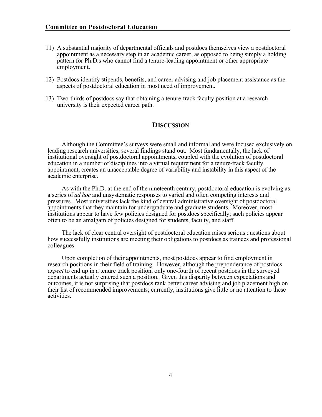- 11) A substantial majority of departmental officials and postdocs themselves view a postdoctoral appointment as a necessary step in an academic career, as opposed to being simply a holding pattern for Ph.D.s who cannot find a tenure-leading appointment or other appropriate employment.
- 12) Postdocs identify stipends, benefits, and career advising and job placement assistance as the aspects of postdoctoral education in most need of improvement.
- 13) Two-thirds of postdocs say that obtaining a tenure-track faculty position at a research university is their expected career path.

#### **DISCUSSION**

Although the Committee's surveys were small and informal and were focused exclusively on leading research universities, several findings stand out. Most fundamentally, the lack of institutional oversight of postdoctoral appointments, coupled with the evolution of postdoctoral education in a number of disciplines into a virtual requirement for a tenure-track faculty appointment, creates an unacceptable degree of variability and instability in this aspect of the academic enterprise.

As with the Ph.D. at the end of the nineteenth century, postdoctoral education is evolving as a series of *ad hoc* and unsystematic responses to varied and often competing interests and pressures. Most universities lack the kind of central administrative oversight of postdoctoral appointments that they maintain for undergraduate and graduate students. Moreover, most institutions appear to have few policies designed for postdocs specifically; such policies appear often to be an amalgam of policies designed for students, faculty, and staff.

The lack of clear central oversight of postdoctoral education raises serious questions about how successfully institutions are meeting their obligations to postdocs as trainees and professional colleagues.

Upon completion of their appointments, most postdocs appear to find employment in research positions in their field of training. However, although the preponderance of postdocs *expect* to end up in a tenure track position, only one-fourth of recent postdocs in the surveyed departments actually entered such a position. Given this disparity between expectations and outcomes, it is not surprising that postdocs rank better career advising and job placement high on their list of recommended improvements; currently, institutions give little or no attention to these activities.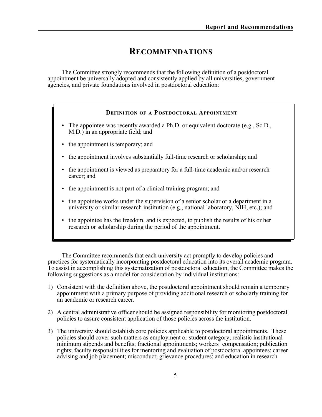### **RECOMMENDATIONS**

The Committee strongly recommends that the following definition of a postdoctoral appointment be universally adopted and consistently applied by all universities, government agencies, and private foundations involved in postdoctoral education:

#### **DEFINITION OF A POSTDOCTORAL APPOINTMENT**

- The appointee was recently awarded a Ph.D. or equivalent doctorate (e.g., Sc.D., M.D.) in an appropriate field; and
- the appointment is temporary; and
- the appointment involves substantially full-time research or scholarship; and
- the appointment is viewed as preparatory for a full-time academic and/or research career; and
- the appointment is not part of a clinical training program; and
- the appointee works under the supervision of a senior scholar or a department in a university or similar research institution (e.g., national laboratory, NIH, etc.); and
- the appointee has the freedom, and is expected, to publish the results of his or her research or scholarship during the period of the appointment.

The Committee recommends that each university act promptly to develop policies and practices for systematically incorporating postdoctoral education into its overall academic program. To assist in accomplishing this systematization of postdoctoral education, the Committee makes the following suggestions as a model for consideration by individual institutions:

- 1) Consistent with the definition above, the postdoctoral appointment should remain a temporary appointment with a primary purpose of providing additional research or scholarly training for an academic or research career.
- 2) A central administrative officer should be assigned responsibility for monitoring postdoctoral policies to assure consistent application of those policies across the institution.
- 3) The university should establish core policies applicable to postdoctoral appointments. These policies should cover such matters as employment or student category; realistic institutional minimum stipends and benefits; fractional appointments; workers' compensation; publication rights; faculty responsibilities for mentoring and evaluation of postdoctoral appointees; career advising and job placement; misconduct; grievance procedures; and education in research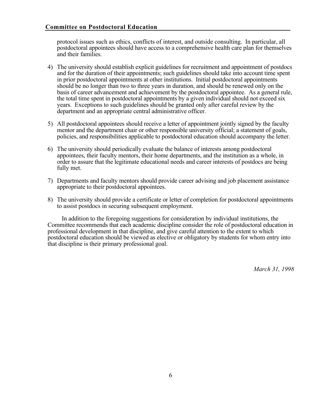protocol issues such as ethics, conflicts of interest, and outside consulting. In particular, all postdoctoral appointees should have access to a comprehensive health care plan for themselves and their families.

- 4) The university should establish explicit guidelines for recruitment and appointment of postdocs and for the duration of their appointments; such guidelines should take into account time spent in prior postdoctoral appointments at other institutions. Initial postdoctoral appointments should be no longer than two to three years in duration, and should be renewed only on the basis of career advancement and achievement by the postdoctoral appointee. As a general rule, the total time spent in postdoctoral appointments by a given individual should not exceed six years. Exceptions to such guidelines should be granted only after careful review by the department and an appropriate central administrative officer.
- 5) All postdoctoral appointees should receive a letter of appointment jointly signed by the faculty mentor and the department chair or other responsible university official; a statement of goals, policies, and responsibilities applicable to postdoctoral education should accompany the letter.
- 6) The university should periodically evaluate the balance of interests among postdoctoral appointees, their faculty mentors, their home departments, and the institution as a whole, in order to assure that the legitimate educational needs and career interests of postdocs are being fully met.
- 7) Departments and faculty mentors should provide career advising and job placement assistance appropriate to their postdoctoral appointees.
- 8) The university should provide a certificate or letter of completion for postdoctoral appointments to assist postdocs in securing subsequent employment.

In addition to the foregoing suggestions for consideration by individual institutions, the Committee recommends that each academic discipline consider the role of postdoctoral education in professional development in that discipline, and give careful attention to the extent to which postdoctoral education should be viewed as elective or obligatory by students for whom entry into that discipline is their primary professional goal.

*March 31, 1998*